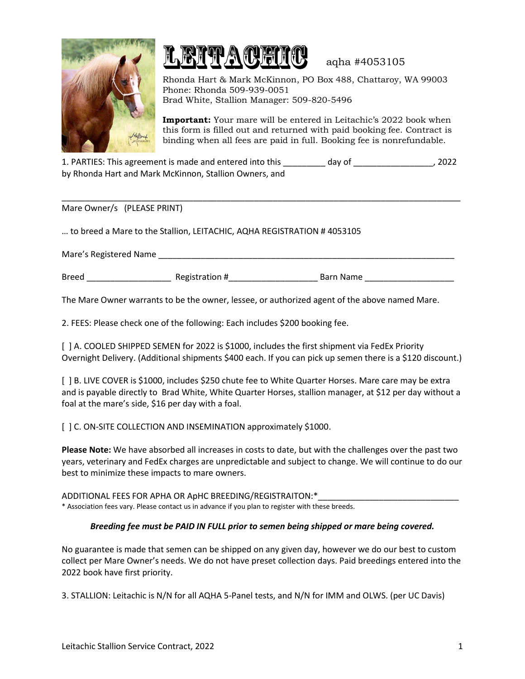



aqha #4053105

Rhonda Hart & Mark McKinnon, PO Box 488, Chattaroy, WA 99003 Phone: Rhonda 509-939-0051 Brad White, Stallion Manager: 509-820-5496

**Important:** Your mare will be entered in Leitachic's 2022 book when this form is filled out and returned with paid booking fee. Contract is binding when all fees are paid in full. Booking fee is nonrefundable.

| 1. PARTIES: This agreement is made and entered into this | day of | 2022 |
|----------------------------------------------------------|--------|------|
| by Rhonda Hart and Mark McKinnon, Stallion Owners, and   |        |      |

\_\_\_\_\_\_\_\_\_\_\_\_\_\_\_\_\_\_\_\_\_\_\_\_\_\_\_\_\_\_\_\_\_\_\_\_\_\_\_\_\_\_\_\_\_\_\_\_\_\_\_\_\_\_\_\_\_\_\_\_\_\_\_\_\_\_\_\_\_\_\_\_\_\_\_\_\_\_\_\_\_\_\_\_\_

Mare Owner/s (PLEASE PRINT)

… to breed a Mare to the Stallion, LEITACHIC, AQHA REGISTRATION # 4053105

Mare's Registered Name

| <b>Breed</b> | Dacitation H<br>וכוצפו<br>711111 | ⊓ – …<br>$ -$<br>-ivarne<br>5d. |
|--------------|----------------------------------|---------------------------------|
|              |                                  |                                 |

The Mare Owner warrants to be the owner, lessee, or authorized agent of the above named Mare.

2. FEES: Please check one of the following: Each includes \$200 booking fee.

[ ] A. COOLED SHIPPED SEMEN for 2022 is \$1000, includes the first shipment via FedEx Priority Overnight Delivery. (Additional shipments \$400 each. If you can pick up semen there is a \$120 discount.)

[ ] B. LIVE COVER is \$1000, includes \$250 chute fee to White Quarter Horses. Mare care may be extra and is payable directly to Brad White, White Quarter Horses, stallion manager, at \$12 per day without a foal at the mare's side, \$16 per day with a foal.

[] C. ON-SITE COLLECTION AND INSEMINATION approximately \$1000.

**Please Note:** We have absorbed all increases in costs to date, but with the challenges over the past two years, veterinary and FedEx charges are unpredictable and subject to change. We will continue to do our best to minimize these impacts to mare owners.

ADDITIONAL FEES FOR APHA OR ApHC BREEDING/REGISTRAITON:\* \* Association fees vary. Please contact us in advance if you plan to register with these breeds.

## *Breeding fee must be PAID IN FULL prior to semen being shipped or mare being covered.*

No guarantee is made that semen can be shipped on any given day, however we do our best to custom collect per Mare Owner's needs. We do not have preset collection days. Paid breedings entered into the 2022 book have first priority.

3. STALLION: Leitachic is N/N for all AQHA 5-Panel tests, and N/N for IMM and OLWS. (per UC Davis)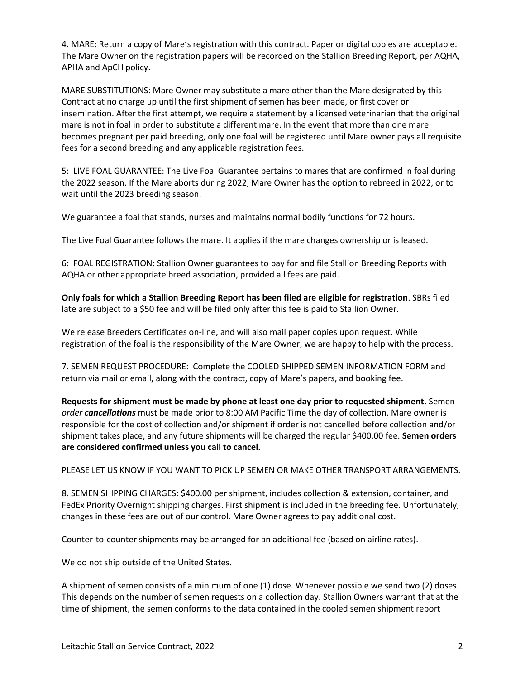4. MARE: Return a copy of Mare's registration with this contract. Paper or digital copies are acceptable. The Mare Owner on the registration papers will be recorded on the Stallion Breeding Report, per AQHA, APHA and ApCH policy.

MARE SUBSTITUTIONS: Mare Owner may substitute a mare other than the Mare designated by this Contract at no charge up until the first shipment of semen has been made, or first cover or insemination. After the first attempt, we require a statement by a licensed veterinarian that the original mare is not in foal in order to substitute a different mare. In the event that more than one mare becomes pregnant per paid breeding, only one foal will be registered until Mare owner pays all requisite fees for a second breeding and any applicable registration fees.

5: LIVE FOAL GUARANTEE: The Live Foal Guarantee pertains to mares that are confirmed in foal during the 2022 season. If the Mare aborts during 2022, Mare Owner has the option to rebreed in 2022, or to wait until the 2023 breeding season.

We guarantee a foal that stands, nurses and maintains normal bodily functions for 72 hours.

The Live Foal Guarantee follows the mare. It applies if the mare changes ownership or is leased.

6: FOAL REGISTRATION: Stallion Owner guarantees to pay for and file Stallion Breeding Reports with AQHA or other appropriate breed association, provided all fees are paid.

**Only foals for which a Stallion Breeding Report has been filed are eligible for registration**. SBRs filed late are subject to a \$50 fee and will be filed only after this fee is paid to Stallion Owner.

We release Breeders Certificates on-line, and will also mail paper copies upon request. While registration of the foal is the responsibility of the Mare Owner, we are happy to help with the process.

7. SEMEN REQUEST PROCEDURE: Complete the COOLED SHIPPED SEMEN INFORMATION FORM and return via mail or email, along with the contract, copy of Mare's papers, and booking fee.

**Requests for shipment must be made by phone at least one day prior to requested shipment.** Semen *order cancellations* must be made prior to 8:00 AM Pacific Time the day of collection. Mare owner is responsible for the cost of collection and/or shipment if order is not cancelled before collection and/or shipment takes place, and any future shipments will be charged the regular \$400.00 fee. **Semen orders are considered confirmed unless you call to cancel.**

PLEASE LET US KNOW IF YOU WANT TO PICK UP SEMEN OR MAKE OTHER TRANSPORT ARRANGEMENTS.

8. SEMEN SHIPPING CHARGES: \$400.00 per shipment, includes collection & extension, container, and FedEx Priority Overnight shipping charges. First shipment is included in the breeding fee. Unfortunately, changes in these fees are out of our control. Mare Owner agrees to pay additional cost.

Counter-to-counter shipments may be arranged for an additional fee (based on airline rates).

We do not ship outside of the United States.

A shipment of semen consists of a minimum of one (1) dose. Whenever possible we send two (2) doses. This depends on the number of semen requests on a collection day. Stallion Owners warrant that at the time of shipment, the semen conforms to the data contained in the cooled semen shipment report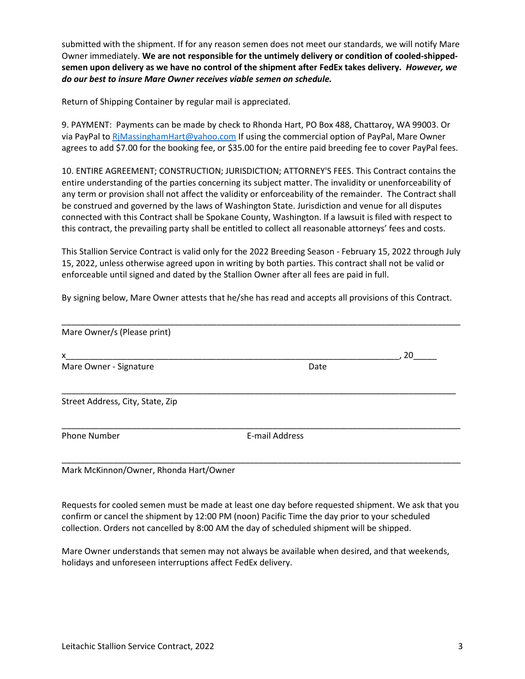submitted with the shipment. If for any reason semen does not meet our standards, we will notify Mare Owner immediately. **We are not responsible for the untimely delivery or condition of cooled-shippedsemen upon delivery as we have no control of the shipment after FedEx takes delivery.** *However, we do our best to insure Mare Owner receives viable semen on schedule.*

Return of Shipping Container by regular mail is appreciated.

9. PAYMENT: Payments can be made by check to Rhonda Hart, PO Box 488, Chattaroy, WA 99003. Or via PayPal to RiMassinghamHart@yahoo.com If using the commercial option of PayPal, Mare Owner agrees to add \$7.00 for the booking fee, or \$35.00 for the entire paid breeding fee to cover PayPal fees.

10. ENTIRE AGREEMENT; CONSTRUCTION; JURISDICTION; ATTORNEY'S FEES. This Contract contains the entire understanding of the parties concerning its subject matter. The invalidity or unenforceability of any term or provision shall not affect the validity or enforceability of the remainder. The Contract shall be construed and governed by the laws of Washington State. Jurisdiction and venue for all disputes connected with this Contract shall be Spokane County, Washington. If a lawsuit is filed with respect to this contract, the prevailing party shall be entitled to collect all reasonable attorneys' fees and costs.

This Stallion Service Contract is valid only for the 2022 Breeding Season - February 15, 2022 through July 15, 2022, unless otherwise agreed upon in writing by both parties. This contract shall not be valid or enforceable until signed and dated by the Stallion Owner after all fees are paid in full.

By signing below, Mare Owner attests that he/she has read and accepts all provisions of this Contract.

|                | 20 |
|----------------|----|
| Date           |    |
|                |    |
| E-mail Address |    |
|                |    |

Mark McKinnon/Owner, Rhonda Hart/Owner

Requests for cooled semen must be made at least one day before requested shipment. We ask that you confirm or cancel the shipment by 12:00 PM (noon) Pacific Time the day prior to your scheduled collection. Orders not cancelled by 8:00 AM the day of scheduled shipment will be shipped.

Mare Owner understands that semen may not always be available when desired, and that weekends, holidays and unforeseen interruptions affect FedEx delivery.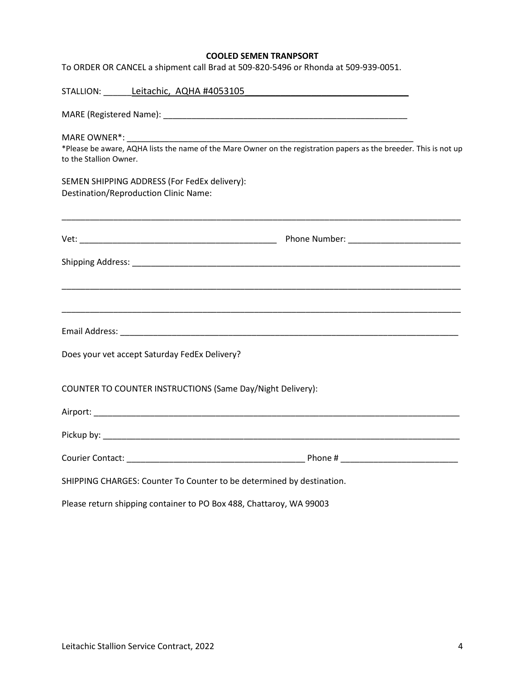## **COOLED SEMEN TRANPSORT**

To ORDER OR CANCEL a shipment call Brad at 509-820-5496 or Rhonda at 509-939-0051.

|                                                                                                                                             | STALLION: Leitachic, AQHA #4053105                                    |  |  |  |
|---------------------------------------------------------------------------------------------------------------------------------------------|-----------------------------------------------------------------------|--|--|--|
|                                                                                                                                             |                                                                       |  |  |  |
| *Please be aware, AQHA lists the name of the Mare Owner on the registration papers as the breeder. This is not up<br>to the Stallion Owner. |                                                                       |  |  |  |
| Destination/Reproduction Clinic Name:                                                                                                       | SEMEN SHIPPING ADDRESS (For FedEx delivery):                          |  |  |  |
|                                                                                                                                             |                                                                       |  |  |  |
|                                                                                                                                             |                                                                       |  |  |  |
|                                                                                                                                             |                                                                       |  |  |  |
|                                                                                                                                             |                                                                       |  |  |  |
|                                                                                                                                             | Does your vet accept Saturday FedEx Delivery?                         |  |  |  |
|                                                                                                                                             | COUNTER TO COUNTER INSTRUCTIONS (Same Day/Night Delivery):            |  |  |  |
|                                                                                                                                             |                                                                       |  |  |  |
|                                                                                                                                             |                                                                       |  |  |  |
|                                                                                                                                             |                                                                       |  |  |  |
|                                                                                                                                             | SHIPPING CHARGES: Counter To Counter to be determined by destination. |  |  |  |
| Please return shipping container to PO Box 488, Chattaroy, WA 99003                                                                         |                                                                       |  |  |  |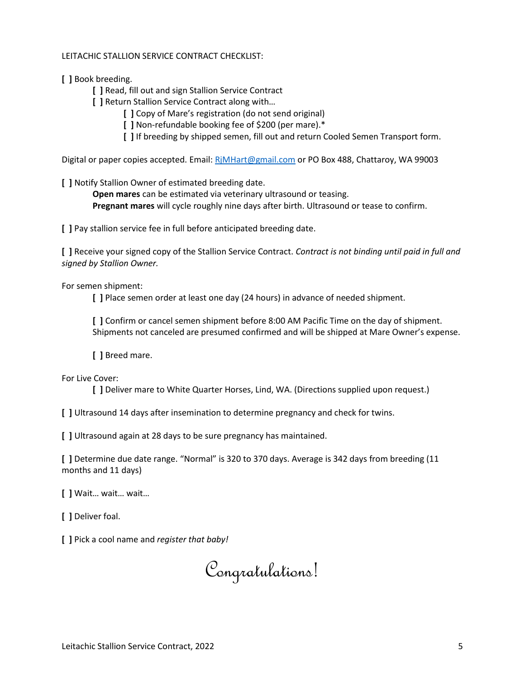## LEITACHIC STALLION SERVICE CONTRACT CHECKLIST:

**[ ]** Book breeding.

**[ ]** Read, fill out and sign Stallion Service Contract

**[ ]** Return Stallion Service Contract along with…

**[ ]** Copy of Mare's registration (do not send original)

**[ ]** Non-refundable booking fee of \$200 (per mare).\*

**[ ]** If breeding by shipped semen, fill out and return Cooled Semen Transport form.

Digital or paper copies accepted. Email[: RjMHart@gmail.com](mailto:RjMHart@gmail.com) or PO Box 488, Chattaroy, WA 99003

**[ ]** Notify Stallion Owner of estimated breeding date.

**Open mares** can be estimated via veterinary ultrasound or teasing. **Pregnant mares** will cycle roughly nine days after birth. Ultrasound or tease to confirm.

**[ ]** Pay stallion service fee in full before anticipated breeding date.

**[ ]** Receive your signed copy of the Stallion Service Contract. *Contract is not binding until paid in full and signed by Stallion Owner.*

For semen shipment:

**[ ]** Place semen order at least one day (24 hours) in advance of needed shipment.

**[ ]** Confirm or cancel semen shipment before 8:00 AM Pacific Time on the day of shipment. Shipments not canceled are presumed confirmed and will be shipped at Mare Owner's expense.

**[ ]** Breed mare.

For Live Cover:

**[ ]** Deliver mare to White Quarter Horses, Lind, WA. (Directions supplied upon request.)

**[ ]** Ultrasound 14 days after insemination to determine pregnancy and check for twins.

**[ ]** Ultrasound again at 28 days to be sure pregnancy has maintained.

**[ ]** Determine due date range. "Normal" is 320 to 370 days. Average is 342 days from breeding (11 months and 11 days)

**[ ]** Wait… wait… wait…

**[ ]** Deliver foal.

**[ ]** Pick a cool name and *register that baby!*

Congratulations!